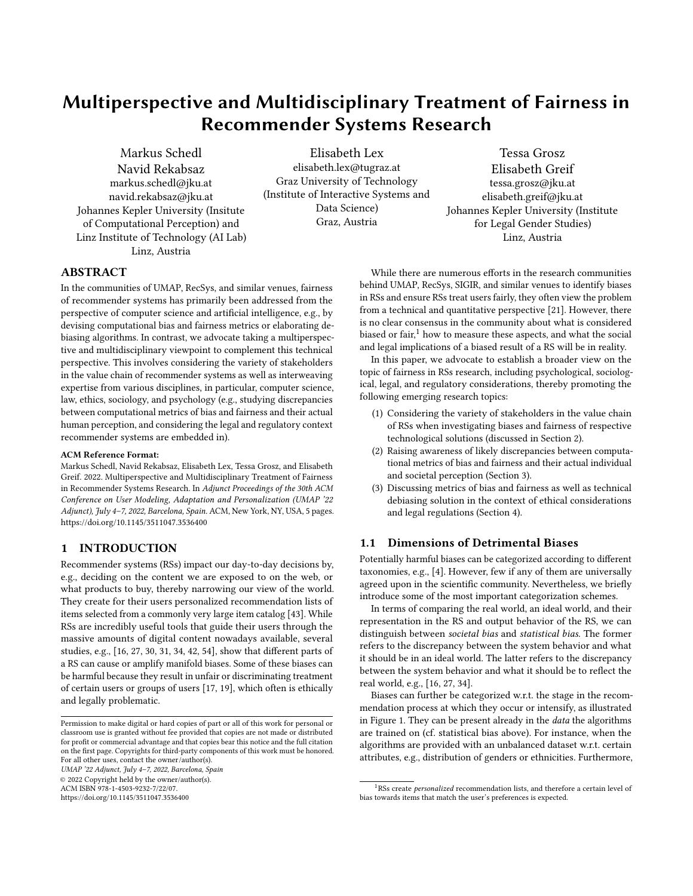# <span id="page-0-0"></span>Multiperspective and Multidisciplinary Treatment of Fairness in Recommender Systems Research

[Markus Schedl](https://orcid.org/0000-0003-1706-3406) [Navid Rekabsaz](https://orcid.org/0000-0001-5764-8738) markus.schedl@jku.at navid.rekabsaz@jku.at Johannes Kepler University (Insitute of Computational Perception) and Linz Institute of Technology (AI Lab) Linz, Austria

[Elisabeth Lex](https://orcid.org/0000-0001-5293-2967) elisabeth.lex@tugraz.at Graz University of Technology (Institute of Interactive Systems and Data Science) Graz, Austria

[Tessa Grosz](https://orcid.org/0000-0002-9072-9641) [Elisabeth Greif](https://orcid.org/0000-0003-4096-8510) tessa.grosz@jku.at elisabeth.greif@jku.at Johannes Kepler University (Institute for Legal Gender Studies) Linz, Austria

## ABSTRACT

In the communities of UMAP, RecSys, and similar venues, fairness of recommender systems has primarily been addressed from the perspective of computer science and artificial intelligence, e.g., by devising computational bias and fairness metrics or elaborating debiasing algorithms. In contrast, we advocate taking a multiperspective and multidisciplinary viewpoint to complement this technical perspective. This involves considering the variety of stakeholders in the value chain of recommender systems as well as interweaving expertise from various disciplines, in particular, computer science, law, ethics, sociology, and psychology (e.g., studying discrepancies between computational metrics of bias and fairness and their actual human perception, and considering the legal and regulatory context recommender systems are embedded in).

#### ACM Reference Format:

Markus Schedl, Navid Rekabsaz, Elisabeth Lex, Tessa Grosz, and Elisabeth Greif. 2022. Multiperspective and Multidisciplinary Treatment of Fairness in Recommender Systems Research. In Adjunct Proceedings of the 30th ACM Conference on User Modeling, Adaptation and Personalization (UMAP '22 Adjunct), July 4–7, 2022, Barcelona, Spain. ACM, New York, NY, USA, [5](#page-4-0) pages. <https://doi.org/10.1145/3511047.3536400>

# 1 INTRODUCTION

Recommender systems (RSs) impact our day-to-day decisions by, e.g., deciding on the content we are exposed to on the web, or what products to buy, thereby narrowing our view of the world. They create for their users personalized recommendation lists of items selected from a commonly very large item catalog [\[43\]](#page-4-1). While RSs are incredibly useful tools that guide their users through the massive amounts of digital content nowadays available, several studies, e.g., [\[16,](#page-3-0) [27,](#page-3-1) [30,](#page-3-2) [31,](#page-3-3) [34,](#page-3-4) [42,](#page-4-2) [54\]](#page-4-3), show that different parts of a RS can cause or amplify manifold biases. Some of these biases can be harmful because they result in unfair or discriminating treatment of certain users or groups of users [\[17,](#page-3-5) [19\]](#page-3-6), which often is ethically and legally problematic.

UMAP '22 Adjunct, July 4–7, 2022, Barcelona, Spain © 2022 Copyright held by the owner/author(s).

ACM ISBN 978-1-4503-9232-7/22/07.

While there are numerous efforts in the research communities behind UMAP, RecSys, SIGIR, and similar venues to identify biases in RSs and ensure RSs treat users fairly, they often view the problem from a technical and quantitative perspective [\[21\]](#page-3-7). However, there is no clear consensus in the community about what is considered biased or fair, $1$  how to measure these aspects, and what the social and legal implications of a biased result of a RS will be in reality.

In this paper, we advocate to establish a broader view on the topic of fairness in RSs research, including psychological, sociological, legal, and regulatory considerations, thereby promoting the following emerging research topics:

- (1) Considering the variety of stakeholders in the value chain of RSs when investigating biases and fairness of respective technological solutions (discussed in Section [2\)](#page-1-0).
- (2) Raising awareness of likely discrepancies between computational metrics of bias and fairness and their actual individual and societal perception (Section [3\)](#page-2-0).
- (3) Discussing metrics of bias and fairness as well as technical debiasing solution in the context of ethical considerations and legal regulations (Section [4\)](#page-2-1).

#### <span id="page-0-1"></span>1.1 Dimensions of Detrimental Biases

Potentially harmful biases can be categorized according to different taxonomies, e.g., [\[4\]](#page-3-8). However, few if any of them are universally agreed upon in the scientific community. Nevertheless, we briefly introduce some of the most important categorization schemes.

In terms of comparing the real world, an ideal world, and their representation in the RS and output behavior of the RS, we can distinguish between societal bias and statistical bias. The former refers to the discrepancy between the system behavior and what it should be in an ideal world. The latter refers to the discrepancy between the system behavior and what it should be to reflect the real world, e.g., [\[16,](#page-3-0) [27,](#page-3-1) [34\]](#page-3-4).

Biases can further be categorized w.r.t. the stage in the recommendation process at which they occur or intensify, as illustrated in Figure [1.](#page-1-1) They can be present already in the data the algorithms are trained on (cf. statistical bias above). For instance, when the algorithms are provided with an unbalanced dataset w.r.t. certain attributes, e.g., distribution of genders or ethnicities. Furthermore,

Permission to make digital or hard copies of part or all of this work for personal or classroom use is granted without fee provided that copies are not made or distributed for profit or commercial advantage and that copies bear this notice and the full citation on the first page. Copyrights for third-party components of this work must be honored. For all other uses, contact the owner/author(s).

<https://doi.org/10.1145/3511047.3536400>

 $1$ RSs create *personalized* recommendation lists, and therefore a certain level of bias towards items that match the user's preferences is expected.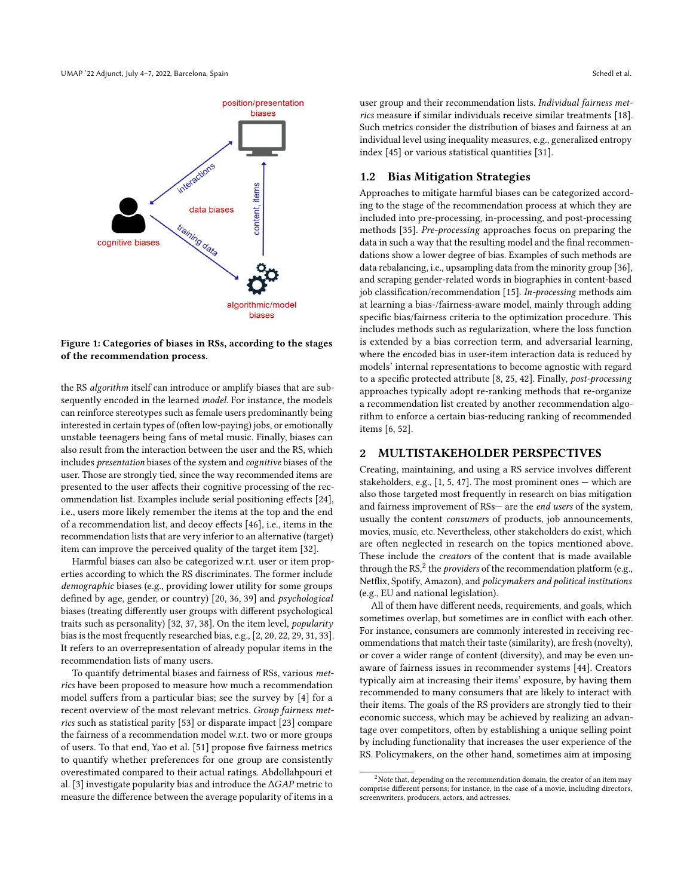<span id="page-1-1"></span>

Figure 1: Categories of biases in RSs, according to the stages of the recommendation process.

the RS algorithm itself can introduce or amplify biases that are subsequently encoded in the learned model. For instance, the models can reinforce stereotypes such as female users predominantly being interested in certain types of (often low-paying) jobs, or emotionally unstable teenagers being fans of metal music. Finally, biases can also result from the interaction between the user and the RS, which includes presentation biases of the system and cognitive biases of the user. Those are strongly tied, since the way recommended items are presented to the user affects their cognitive processing of the recommendation list. Examples include serial positioning effects [\[24\]](#page-3-9), i.e., users more likely remember the items at the top and the end of a recommendation list, and decoy effects [\[46\]](#page-4-4), i.e., items in the recommendation lists that are very inferior to an alternative (target) item can improve the perceived quality of the target item [\[32\]](#page-3-10).

Harmful biases can also be categorized w.r.t. user or item properties according to which the RS discriminates. The former include demographic biases (e.g., providing lower utility for some groups defined by age, gender, or country) [\[20,](#page-3-11) [36,](#page-3-12) [39\]](#page-4-5) and psychological biases (treating differently user groups with different psychological traits such as personality) [\[32,](#page-3-10) [37,](#page-3-13) [38\]](#page-4-6). On the item level, popularity bias is the most frequently researched bias, e.g., [\[2,](#page-3-14) [20,](#page-3-11) [22,](#page-3-15) [29,](#page-3-16) [31,](#page-3-3) [33\]](#page-3-17). It refers to an overrepresentation of already popular items in the recommendation lists of many users.

To quantify detrimental biases and fairness of RSs, various metrics have been proposed to measure how much a recommendation model suffers from a particular bias; see the survey by [\[4\]](#page-3-8) for a recent overview of the most relevant metrics. Group fairness metrics such as statistical parity [\[53\]](#page-4-7) or disparate impact [\[23\]](#page-3-18) compare the fairness of a recommendation model w.r.t. two or more groups of users. To that end, Yao et al. [\[51\]](#page-4-8) propose five fairness metrics to quantify whether preferences for one group are consistently overestimated compared to their actual ratings. Abdollahpouri et al. [\[3\]](#page-3-19) investigate popularity bias and introduce the  $\Delta GAP$  metric to measure the difference between the average popularity of items in a

user group and their recommendation lists. Individual fairness metrics measure if similar individuals receive similar treatments [\[18\]](#page-3-20). Such metrics consider the distribution of biases and fairness at an individual level using inequality measures, e.g., generalized entropy index [\[45\]](#page-4-9) or various statistical quantities [\[31\]](#page-3-3).

## 1.2 Bias Mitigation Strategies

Approaches to mitigate harmful biases can be categorized according to the stage of the recommendation process at which they are included into pre-processing, in-processing, and post-processing methods [\[35\]](#page-3-21). Pre-processing approaches focus on preparing the data in such a way that the resulting model and the final recommendations show a lower degree of bias. Examples of such methods are data rebalancing, i.e., upsampling data from the minority group [\[36\]](#page-3-12), and scraping gender-related words in biographies in content-based job classification/recommendation [\[15\]](#page-3-22). In-processing methods aim at learning a bias-/fairness-aware model, mainly through adding specific bias/fairness criteria to the optimization procedure. This includes methods such as regularization, where the loss function is extended by a bias correction term, and adversarial learning, where the encoded bias in user-item interaction data is reduced by models' internal representations to become agnostic with regard to a specific protected attribute [\[8,](#page-3-23) [25,](#page-3-24) [42\]](#page-4-2). Finally, post-processing approaches typically adopt re-ranking methods that re-organize a recommendation list created by another recommendation algorithm to enforce a certain bias-reducing ranking of recommended items [\[6,](#page-3-25) [52\]](#page-4-10).

### <span id="page-1-0"></span>2 MULTISTAKEHOLDER PERSPECTIVES

Creating, maintaining, and using a RS service involves different stakeholders, e.g., [\[1,](#page-3-26) [5,](#page-3-27) [47\]](#page-4-11). The most prominent ones — which are also those targeted most frequently in research on bias mitigation and fairness improvement of RSs— are the end users of the system, usually the content consumers of products, job announcements, movies, music, etc. Nevertheless, other stakeholders do exist, which are often neglected in research on the topics mentioned above. These include the creators of the content that is made available through the RS, $^2$  $^2$  the *providers* of the recommendation platform (e.g., Netflix, Spotify, Amazon), and policymakers and political institutions (e.g., EU and national legislation).

All of them have different needs, requirements, and goals, which sometimes overlap, but sometimes are in conflict with each other. For instance, consumers are commonly interested in receiving recommendations that match their taste (similarity), are fresh (novelty), or cover a wider range of content (diversity), and may be even unaware of fairness issues in recommender systems [\[44\]](#page-4-12). Creators typically aim at increasing their items' exposure, by having them recommended to many consumers that are likely to interact with their items. The goals of the RS providers are strongly tied to their economic success, which may be achieved by realizing an advantage over competitors, often by establishing a unique selling point by including functionality that increases the user experience of the RS. Policymakers, on the other hand, sometimes aim at imposing

<sup>&</sup>lt;sup>2</sup>Note that, depending on the recommendation domain, the creator of an item may comprise different persons; for instance, in the case of a movie, including directors, screenwriters, producers, actors, and actresses.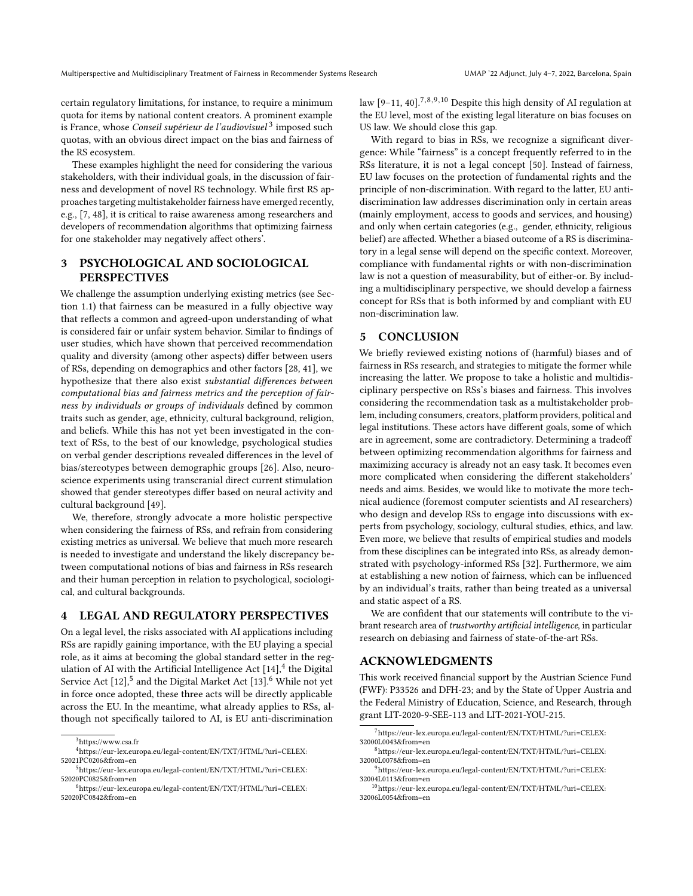certain regulatory limitations, for instance, to require a minimum quota for items by national content creators. A prominent example is France, whose *Conseil supérieur de l'audiovisuel* <sup>[3](#page-0-0)</sup> imposed such quotas, with an obvious direct impact on the bias and fairness of the RS ecosystem.

These examples highlight the need for considering the various stakeholders, with their individual goals, in the discussion of fairness and development of novel RS technology. While first RS approaches targeting multistakeholder fairness have emerged recently, e.g., [\[7,](#page-3-28) [48\]](#page-4-13), it is critical to raise awareness among researchers and developers of recommendation algorithms that optimizing fairness for one stakeholder may negatively affect others'.

# <span id="page-2-0"></span>3 PSYCHOLOGICAL AND SOCIOLOGICAL PERSPECTIVES

We challenge the assumption underlying existing metrics (see Section [1.1\)](#page-0-1) that fairness can be measured in a fully objective way that reflects a common and agreed-upon understanding of what is considered fair or unfair system behavior. Similar to findings of user studies, which have shown that perceived recommendation quality and diversity (among other aspects) differ between users of RSs, depending on demographics and other factors [\[28,](#page-3-29) [41\]](#page-4-14), we hypothesize that there also exist substantial differences between computational bias and fairness metrics and the perception of fairness by individuals or groups of individuals defined by common traits such as gender, age, ethnicity, cultural background, religion, and beliefs. While this has not yet been investigated in the context of RSs, to the best of our knowledge, psychological studies on verbal gender descriptions revealed differences in the level of bias/stereotypes between demographic groups [\[26\]](#page-3-30). Also, neuroscience experiments using transcranial direct current stimulation showed that gender stereotypes differ based on neural activity and cultural background [\[49\]](#page-4-15).

We, therefore, strongly advocate a more holistic perspective when considering the fairness of RSs, and refrain from considering existing metrics as universal. We believe that much more research is needed to investigate and understand the likely discrepancy between computational notions of bias and fairness in RSs research and their human perception in relation to psychological, sociological, and cultural backgrounds.

## <span id="page-2-1"></span>4 LEGAL AND REGULATORY PERSPECTIVES

On a legal level, the risks associated with AI applications including RSs are rapidly gaining importance, with the EU playing a special role, as it aims at becoming the global standard setter in the regulation of AI with the Artificial Intelligence Act  $[14]$ ,<sup>[4](#page-0-0)</sup> the Digital Service Act  $[12],$  $[12],$ <sup>[5](#page-0-0)</sup> and the Digital Market Act  $[13].^6$  $[13].^6$  $[13].^6$  While not yet in force once adopted, these three acts will be directly applicable across the EU. In the meantime, what already applies to RSs, although not specifically tailored to AI, is EU anti-discrimination

law  $[9-11, 40]$  $[9-11, 40]$  $[9-11, 40]$  $[9-11, 40]$ <sup>[7,8,9,10](#page-0-0)</sup> Despite this high density of AI regulation at the EU level, most of the existing legal literature on bias focuses on US law. We should close this gap.

With regard to bias in RSs, we recognize a significant divergence: While "fairness" is a concept frequently referred to in the RSs literature, it is not a legal concept [\[50\]](#page-4-17). Instead of fairness, EU law focuses on the protection of fundamental rights and the principle of non-discrimination. With regard to the latter, EU antidiscrimination law addresses discrimination only in certain areas (mainly employment, access to goods and services, and housing) and only when certain categories (e.g., gender, ethnicity, religious belief) are affected. Whether a biased outcome of a RS is discriminatory in a legal sense will depend on the specific context. Moreover, compliance with fundamental rights or with non-discrimination law is not a question of measurability, but of either-or. By including a multidisciplinary perspective, we should develop a fairness concept for RSs that is both informed by and compliant with EU non-discrimination law.

#### 5 CONCLUSION

We briefly reviewed existing notions of (harmful) biases and of fairness in RSs research, and strategies to mitigate the former while increasing the latter. We propose to take a holistic and multidisciplinary perspective on RSs's biases and fairness. This involves considering the recommendation task as a multistakeholder problem, including consumers, creators, platform providers, political and legal institutions. These actors have different goals, some of which are in agreement, some are contradictory. Determining a tradeoff between optimizing recommendation algorithms for fairness and maximizing accuracy is already not an easy task. It becomes even more complicated when considering the different stakeholders' needs and aims. Besides, we would like to motivate the more technical audience (foremost computer scientists and AI researchers) who design and develop RSs to engage into discussions with experts from psychology, sociology, cultural studies, ethics, and law. Even more, we believe that results of empirical studies and models from these disciplines can be integrated into RSs, as already demonstrated with psychology-informed RSs [\[32\]](#page-3-10). Furthermore, we aim at establishing a new notion of fairness, which can be influenced by an individual's traits, rather than being treated as a universal and static aspect of a RS.

We are confident that our statements will contribute to the vibrant research area of trustworthy artificial intelligence, in particular research on debiasing and fairness of state-of-the-art RSs.

# ACKNOWLEDGMENTS

This work received financial support by the Austrian Science Fund (FWF): P33526 and DFH-23; and by the State of Upper Austria and the Federal Ministry of Education, Science, and Research, through grant LIT-2020-9-SEE-113 and LIT-2021-YOU-215.

<sup>3</sup><https://www.csa.fr>

<sup>4</sup>[https://eur-lex.europa.eu/legal-content/EN/TXT/HTML/?uri=CELEX:](https://eur-lex.europa.eu/legal-content/EN/TXT/HTML/?uri=CELEX:52021PC0206&from=en) [52021PC0206&from=en](https://eur-lex.europa.eu/legal-content/EN/TXT/HTML/?uri=CELEX:52021PC0206&from=en)

<sup>5</sup>[https://eur-lex.europa.eu/legal-content/EN/TXT/HTML/?uri=CELEX:](https://eur-lex.europa.eu/legal-content/EN/TXT/HTML/?uri=CELEX:52020PC0825&from=en) [52020PC0825&from=en](https://eur-lex.europa.eu/legal-content/EN/TXT/HTML/?uri=CELEX:52020PC0825&from=en)

<sup>6</sup>[https://eur-lex.europa.eu/legal-content/EN/TXT/HTML/?uri=CELEX:](https://eur-lex.europa.eu/legal-content/EN/TXT/HTML/?uri=CELEX:52020PC0842&from=en) [52020PC0842&from=en](https://eur-lex.europa.eu/legal-content/EN/TXT/HTML/?uri=CELEX:52020PC0842&from=en)

<sup>7</sup>[https://eur-lex.europa.eu/legal-content/EN/TXT/HTML/?uri=CELEX:](https://eur-lex.europa.eu/legal-content/EN/TXT/HTML/?uri=CELEX:32000L0043&from=en) [32000L0043&from=en](https://eur-lex.europa.eu/legal-content/EN/TXT/HTML/?uri=CELEX:32000L0043&from=en)

<sup>8</sup>[https://eur-lex.europa.eu/legal-content/EN/TXT/HTML/?uri=CELEX:](https://eur-lex.europa.eu/legal-content/EN/TXT/HTML/?uri=CELEX:32000L0078&from=en) [32000L0078&from=en](https://eur-lex.europa.eu/legal-content/EN/TXT/HTML/?uri=CELEX:32000L0078&from=en)

<sup>9</sup>[https://eur-lex.europa.eu/legal-content/EN/TXT/HTML/?uri=CELEX:](https://eur-lex.europa.eu/legal-content/EN/TXT/HTML/?uri=CELEX:32004L0113&from=en) [32004L0113&from=en](https://eur-lex.europa.eu/legal-content/EN/TXT/HTML/?uri=CELEX:32004L0113&from=en)

<sup>10</sup>[https://eur-lex.europa.eu/legal-content/EN/TXT/HTML/?uri=CELEX:](https://eur-lex.europa.eu/legal-content/EN/TXT/HTML/?uri=CELEX:32006L0054&from=en) [32006L0054&from=en](https://eur-lex.europa.eu/legal-content/EN/TXT/HTML/?uri=CELEX:32006L0054&from=en)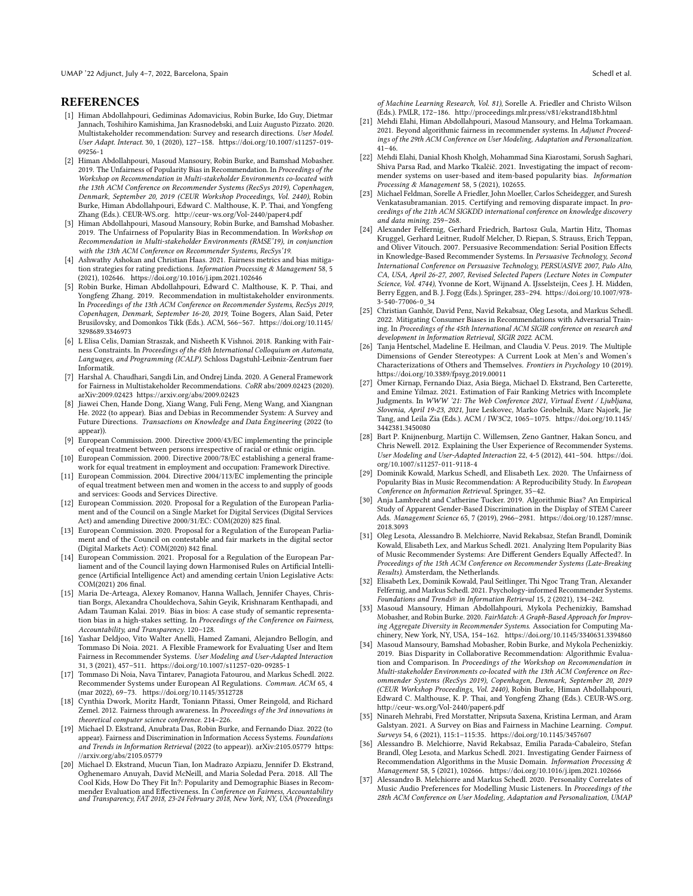UMAP '22 Adjunct, July 4–7, 2022, Barcelona, Spain Schedl et al.

#### **REFERENCES**

- <span id="page-3-26"></span>[1] Himan Abdollahpouri, Gediminas Adomavicius, Robin Burke, Ido Guy, Dietmar Jannach, Toshihiro Kamishima, Jan Krasnodebski, and Luiz Augusto Pizzato. 2020. Multistakeholder recommendation: Survey and research directions. User Model. User Adapt. Interact. 30, 1 (2020), 127–158. [https://doi.org/10.1007/s11257-019-](https://doi.org/10.1007/s11257-019-09256-1) [09256-1](https://doi.org/10.1007/s11257-019-09256-1)
- <span id="page-3-14"></span>[2] Himan Abdollahpouri, Masoud Mansoury, Robin Burke, and Bamshad Mobasher. 2019. The Unfairness of Popularity Bias in Recommendation. In Proceedings of the Workshop on Recommendation in Multi-stakeholder Environments co-located with the 13th ACM Conference on Recommender Systems (RecSys 2019), Copenhagen, Denmark, September 20, 2019 (CEUR Workshop Proceedings, Vol. 2440), Robin Burke, Himan Abdollahpouri, Edward C. Malthouse, K. P. Thai, and Yongfeng Zhang (Eds.). CEUR-WS.org.<http://ceur-ws.org/Vol-2440/paper4.pdf>
- <span id="page-3-19"></span>[3] Himan Abdollahpouri, Masoud Mansoury, Robin Burke, and Bamshad Mobasher. 2019. The Unfairness of Popularity Bias in Recommendation. In Workshop on Recommendation in Multi-stakeholder Environments (RMSE'19), in conjunction with the 13th ACM Conference on Recommender Systems, RecSys'19.
- <span id="page-3-8"></span>[4] Ashwathy Ashokan and Christian Haas. 2021. Fairness metrics and bias mitigation strategies for rating predictions. Information Processing & Management 58, 5 (2021), 102646.<https://doi.org/10.1016/j.ipm.2021.102646>
- <span id="page-3-27"></span>[5] Robin Burke, Himan Abdollahpouri, Edward C. Malthouse, K. P. Thai, and Yongfeng Zhang. 2019. Recommendation in multistakeholder environments. In Proceedings of the 13th ACM Conference on Recommender Systems, RecSys 2019, Copenhagen, Denmark, September 16-20, 2019, Toine Bogers, Alan Said, Peter Brusilovsky, and Domonkos Tikk (Eds.). ACM, 566–567. [https://doi.org/10.1145/](https://doi.org/10.1145/3298689.3346973) [3298689.3346973](https://doi.org/10.1145/3298689.3346973)
- <span id="page-3-25"></span>[6] L Elisa Celis, Damian Straszak, and Nisheeth K Vishnoi. 2018. Ranking with Fairness Constraints. In Proceedings of the 45th International Colloquium on Automata, Languages, and Programming (ICALP). Schloss Dagstuhl-Leibniz-Zentrum fuer Informatik.
- <span id="page-3-28"></span>[7] Harshal A. Chaudhari, Sangdi Lin, and Ondrej Linda. 2020. A General Framework for Fairness in Multistakeholder Recommendations. CoRR abs/2009.02423 (2020).
- <span id="page-3-23"></span>arXiv[:2009.02423 https://arxiv.org/abs/2009.02423](https://arxiv.org/abs/2009.02423) [8] Jiawei Chen, Hande Dong, Xiang Wang, Fuli Feng, Meng Wang, and Xiangnan He. 2022 (to appear). Bias and Debias in Recommender System: A Survey and Future Directions. Transactions on Knowledge and Data Engineering (2022 (to appear)).
- <span id="page-3-34"></span>[9] European Commission. 2000. Directive 2000/43/EC implementing the principle of equal treatment between persons irrespective of racial or ethnic origin.
- [10] European Commission. 2000. Directive 2000/78/EC establishing a general framework for equal treatment in employment and occupation: Framework Directive.
- <span id="page-3-35"></span>[11] European Commission. 2004. Directive 2004/113/EC implementing the principle of equal treatment between men and women in the access to and supply of goods and services: Goods and Services Directive.
- <span id="page-3-32"></span>[12] European Commission. 2020. Proposal for a Regulation of the European Parliament and of the Council on a Single Market for Digital Services (Digital Services Act) and amending Directive 2000/31/EC: COM(2020) 825 final.
- <span id="page-3-33"></span>[13] European Commission. 2020. Proposal for a Regulation of the European Parliament and of the Council on contestable and fair markets in the digital sector (Digital Markets Act): COM(2020) 842 final.
- <span id="page-3-31"></span>[14] European Commission. 2021. Proposal for a Regulation of the European Parliament and of the Council laying down Harmonised Rules on Artificial Intelligence (Artificial Intelligence Act) and amending certain Union Legislative Acts: COM(2021) 206 final.
- <span id="page-3-22"></span>[15] Maria De-Arteaga, Alexey Romanov, Hanna Wallach, Jennifer Chayes, Christian Borgs, Alexandra Chouldechova, Sahin Geyik, Krishnaram Kenthapadi, and Adam Tauman Kalai. 2019. Bias in bios: A case study of semantic representation bias in a high-stakes setting. In Proceedings of the Conference on Fairness, Accountability, and Transparency. 120–128.
- <span id="page-3-0"></span>[16] Yashar Deldjoo, Vito Walter Anelli, Hamed Zamani, Alejandro Bellogín, and Tommaso Di Noia. 2021. A Flexible Framework for Evaluating User and Item Fairness in Recommender Systems. User Modeling and User-Adapted Interaction 31, 3 (2021), 457–511.<https://doi.org/10.1007/s11257-020-09285-1>
- <span id="page-3-5"></span>[17] Tommaso Di Noia, Nava Tintarev, Panagiota Fatourou, and Markus Schedl. 2022. Recommender Systems under European AI Regulations. Commun. ACM 65, 4 (mar 2022), 69–73.<https://doi.org/10.1145/3512728>
- <span id="page-3-20"></span>[18] Cynthia Dwork, Moritz Hardt, Toniann Pitassi, Omer Reingold, and Richard Zemel. 2012. Fairness through awareness. In Proceedings of the 3rd innovations in theoretical computer science conference. 214–226.
- <span id="page-3-6"></span>[19] Michael D. Ekstrand, Anubrata Das, Robin Burke, and Fernando Diaz. 2022 (to appear). Fairness and Discrimination in Information Access Systems. Foundations and Trends in Information Retrieval (2022 (to appear)). arXiv[:2105.05779 https:](https://arxiv.org/abs/2105.05779) [//arxiv.org/abs/2105.05779](https://arxiv.org/abs/2105.05779)
- <span id="page-3-11"></span>[20] Michael D. Ekstrand, Mucun Tian, Ion Madrazo Azpiazu, Jennifer D. Ekstrand, Oghenemaro Anuyah, David McNeill, and Maria Soledad Pera. 2018. All The Cool Kids, How Do They Fit In?: Popularity and Demographic Biases in Recommender Evaluation and Effectiveness. In Conference on Fairness, Accountability and Transparency, FAT 2018, 23-24 February 2018, New York, NY, USA (Proceedings

of Machine Learning Research, Vol. 81), Sorelle A. Friedler and Christo Wilson (Eds.). PMLR, 172–186.<http://proceedings.mlr.press/v81/ekstrand18b.html>

- <span id="page-3-7"></span>[21] Mehdi Elahi, Himan Abdollahpouri, Masoud Mansoury, and Helma Torkamaan. 2021. Beyond algorithmic fairness in recommender systems. In Adjunct Proceedings of the 29th ACM Conference on User Modeling, Adaptation and Personalization.  $41 - 46$
- <span id="page-3-15"></span>[22] Mehdi Elahi, Danial Khosh Kholgh, Mohammad Sina Kiarostami, Sorush Saghari, Shiva Parsa Rad, and Marko Tkalčič. 2021. Investigating the impact of recommender systems on user-based and item-based popularity bias. Information Processing & Management 58, 5 (2021), 102655.
- <span id="page-3-18"></span>[23] Michael Feldman, Sorelle A Friedler, John Moeller, Carlos Scheidegger, and Suresh Venkatasubramanian. 2015. Certifying and removing disparate impact. In proceedings of the 21th ACM SIGKDD international conference on knowledge discovery and data mining. 259–268.
- <span id="page-3-9"></span>[24] Alexander Felfernig, Gerhard Friedrich, Bartosz Gula, Martin Hitz, Thomas Kruggel, Gerhard Leitner, Rudolf Melcher, D. Riepan, S. Strauss, Erich Teppan, and Oliver Vitouch. 2007. Persuasive Recommendation: Serial Position Effects in Knowledge-Based Recommender Systems. In Persuasive Technology, Second International Conference on Persuasive Technology, PERSUASIVE 2007, Palo Alto, CA, USA, April 26-27, 2007, Revised Selected Papers (Lecture Notes in Computer Science, Vol. 4744), Yvonne de Kort, Wijnand A. IJsselsteijn, Cees J. H. Midden, Berry Eggen, and B. J. Fogg (Eds.). Springer, 283–294. [https://doi.org/10.1007/978-](https://doi.org/10.1007/978-3-540-77006-0_34) [3-540-77006-0\\_34](https://doi.org/10.1007/978-3-540-77006-0_34)
- <span id="page-3-24"></span>[25] Christian Ganhör, David Penz, Navid Rekabsaz, Oleg Lesota, and Markus Schedl. 2022. Mitigating Consumer Biases in Recommendations with Adversarial Training. In Proceedings of the 45th International ACM SIGIR conference on research and development in Information Retrieval, SIGIR 2022. ACM.
- <span id="page-3-30"></span>[26] Tanja Hentschel, Madeline E. Heilman, and Claudia V. Peus. 2019. The Multiple Dimensions of Gender Stereotypes: A Current Look at Men's and Women's Characterizations of Others and Themselves. Frontiers in Psychology 10 (2019). <https://doi.org/10.3389/fpsyg.2019.00011>
- <span id="page-3-1"></span>[27] Ömer Kirnap, Fernando Diaz, Asia Biega, Michael D. Ekstrand, Ben Carterette, and Emine Yilmaz. 2021. Estimation of Fair Ranking Metrics with Incomplete Judgments. In WWW '21: The Web Conference 2021, Virtual Event / Ljubljana, Slovenia, April 19-23, 2021, Jure Leskovec, Marko Grobelnik, Marc Najork, Jie Tang, and Leila Zia (Eds.). ACM / IW3C2, 1065–1075. [https://doi.org/10.1145/](https://doi.org/10.1145/3442381.3450080) [3442381.3450080](https://doi.org/10.1145/3442381.3450080)
- <span id="page-3-29"></span>[28] Bart P. Knijnenburg, Martijn C. Willemsen, Zeno Gantner, Hakan Soncu, and Chris Newell. 2012. Explaining the User Experience of Recommender Systems. User Modeling and User-Adapted Interaction 22, 4-5 (2012), 441–504. [https://doi.](https://doi.org/10.1007/s11257-011-9118-4) [org/10.1007/s11257-011-9118-4](https://doi.org/10.1007/s11257-011-9118-4)
- <span id="page-3-16"></span>[29] Dominik Kowald, Markus Schedl, and Elisabeth Lex. 2020. The Unfairness of Popularity Bias in Music Recommendation: A Reproducibility Study. In European Conference on Information Retrieval. Springer, 35–42.
- <span id="page-3-2"></span>[30] Anja Lambrecht and Catherine Tucker. 2019. Algorithmic Bias? An Empirical Study of Apparent Gender-Based Discrimination in the Display of STEM Career Ads. Management Science 65, 7 (2019), 2966–2981. [https://doi.org/10.1287/mnsc.](https://doi.org/10.1287/mnsc.2018.3093) [2018.3093](https://doi.org/10.1287/mnsc.2018.3093)
- <span id="page-3-3"></span>[31] Oleg Lesota, Alessandro B. Melchiorre, Navid Rekabsaz, Stefan Brandl, Dominik Kowald, Elisabeth Lex, and Markus Schedl. 2021. Analyzing Item Popularity Bias of Music Recommender Systems: Are Different Genders Equally Affected?. In Proceedings of the 15th ACM Conference on Recommender Systems (Late-Breaking Results). Amsterdam, the Netherlands.
- <span id="page-3-10"></span>[32] Elisabeth Lex, Dominik Kowald, Paul Seitlinger, Thi Ngoc Trang Tran, Alexander Felfernig, and Markus Schedl. 2021. Psychology-informed Recommender Systems. Foundations and Trends® in Information Retrieval 15, 2 (2021), 134–242.
- <span id="page-3-17"></span>[33] Masoud Mansoury, Himan Abdollahpouri, Mykola Pechenizkiy, Bamshad Mobasher, and Robin Burke. 2020. FairMatch: A Graph-Based Approach for Improving Aggregate Diversity in Recommender Systems. Association for Computing Machinery, New York, NY, USA, 154–162.<https://doi.org/10.1145/3340631.3394860>
- <span id="page-3-4"></span>[34] Masoud Mansoury, Bamshad Mobasher, Robin Burke, and Mykola Pechenizkiy. 2019. Bias Disparity in Collaborative Recommendation: Algorithmic Evaluation and Comparison. In Proceedings of the Workshop on Recommendation in Multi-stakeholder Environments co-located with the 13th ACM Conference on Recommender Systems (RecSys 2019), Copenhagen, Denmark, September 20, 2019 (CEUR Workshop Proceedings, Vol. 2440), Robin Burke, Himan Abdollahpouri, Edward C. Malthouse, K. P. Thai, and Yongfeng Zhang (Eds.). CEUR-WS.org. <http://ceur-ws.org/Vol-2440/paper6.pdf>
- <span id="page-3-21"></span>[35] Ninareh Mehrabi, Fred Morstatter, Nripsuta Saxena, Kristina Lerman, and Aram Galstyan. 2021. A Survey on Bias and Fairness in Machine Learning. Comput. Surveys 54, 6 (2021), 115:1–115:35.<https://doi.org/10.1145/3457607>
- <span id="page-3-12"></span>[36] Alessandro B. Melchiorre, Navid Rekabsaz, Emilia Parada-Cabaleiro, Stefan Brandl, Oleg Lesota, and Markus Schedl. 2021. Investigating Gender Fairness of Recommendation Algorithms in the Music Domain. Information Processing & Management 58, 5 (2021), 102666.<https://doi.org/10.1016/j.ipm.2021.102666>
- <span id="page-3-13"></span>[37] Alessandro B. Melchiorre and Markus Schedl. 2020. Personality Correlates of Music Audio Preferences for Modelling Music Listeners. In Proceedings of the 28th ACM Conference on User Modeling, Adaptation and Personalization, UMAP